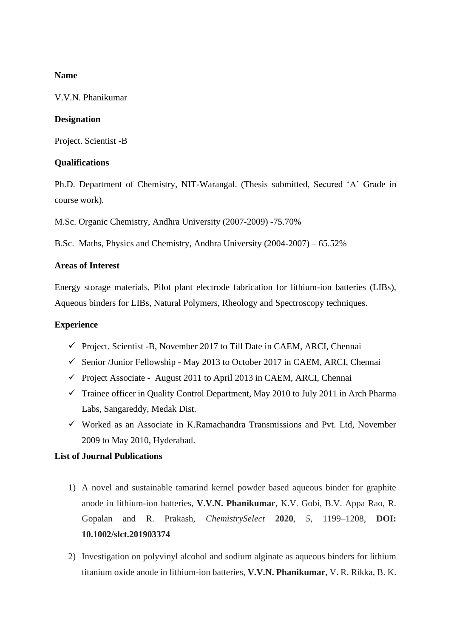#### **Name**

V.V.N. Phanikumar

#### **Designation**

Project. Scientist -B

## **Qualifications**

Ph.D. Department of Chemistry, NIT-Warangal. (Thesis submitted, Secured 'A' Grade in course work).

M.Sc. Organic Chemistry, Andhra University (2007-2009) -75.70%

B.Sc. Maths, Physics and Chemistry, Andhra University (2004-2007) – 65.52%

## **Areas of Interest**

Energy storage materials, Pilot plant electrode fabrication for lithium-ion batteries (LIBs), Aqueous binders for LIBs, Natural Polymers, Rheology and Spectroscopy techniques.

## **Experience**

- $\checkmark$  Project. Scientist -B, November 2017 to Till Date in CAEM, ARCI, Chennai
- $\checkmark$  Senior /Junior Fellowship May 2013 to October 2017 in CAEM, ARCI, Chennai
- ✓ Project Associate August 2011 to April 2013 in CAEM, ARCI, Chennai
- $\checkmark$  Trainee officer in Quality Control Department, May 2010 to July 2011 in Arch Pharma Labs, Sangareddy, Medak Dist.
- $\checkmark$  Worked as an Associate in K.Ramachandra Transmissions and Pvt. Ltd, November 2009 to May 2010, Hyderabad.

## **List of Journal Publications**

- 1) A novel and sustainable tamarind kernel powder based aqueous binder for graphite anode in lithium-ion batteries, **V.V.N. Phanikumar**, K.V. Gobi, B.V. Appa Rao, R. Gopalan and R. Prakash, *ChemistrySelect* **2020**, *5*, 1199–1208, **DOI: 10.1002/slct.201903374**
- 2) Investigation on polyvinyl alcohol and sodium alginate as aqueous binders for lithium titanium oxide anode in lithium-ion batteries, **V.V.N. Phanikumar**, V. R. Rikka, B. K.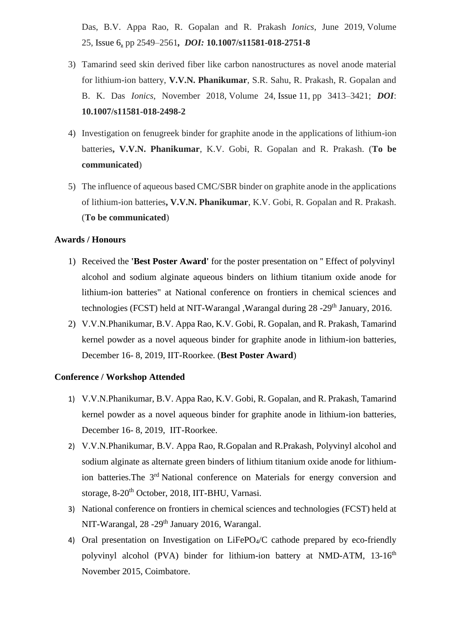Das, B.V. Appa Rao, R. Gopalan and R. Prakash *Ionics*, June 2019, Volume 25, [Issue](https://link.springer.com/journal/11581/25/6/page/1) 6, pp 2549–2561*, DOI:* **10.1007/s11581-018-2751-8**

- 3) Tamarind seed skin derived fiber like carbon nanostructures as novel anode material for lithium-ion battery, **V.V.N. Phanikumar**, S.R. Sahu, R. Prakash, R. Gopalan and B. K. Das *Ionics*, November 2018, Volume 24, [Issue](https://link.springer.com/journal/11581/24/11/page/1) 11, pp 3413–3421; *DOI*: **10.1007/s11581-018-2498-2**
- 4) Investigation on fenugreek binder for graphite anode in the applications of lithium-ion batteries**, V.V.N. Phanikumar**, K.V. Gobi, R. Gopalan and R. Prakash. (**To be communicated**)
- 5) The influence of aqueous based CMC/SBR binder on graphite anode in the applications of lithium-ion batteries**, V.V.N. Phanikumar**, K.V. Gobi, R. Gopalan and R. Prakash. (**To be communicated**)

#### **Awards / Honours**

- 1) Received the **'Best Poster Award'** for the poster presentation on '' Effect of polyvinyl alcohol and sodium alginate aqueous binders on lithium titanium oxide anode for lithium-ion batteries" at National conference on frontiers in chemical sciences and technologies (FCST) held at NIT-Warangal ,Warangal during 28 -29<sup>th</sup> January, 2016.
- 2) V.V.N.Phanikumar, B.V. Appa Rao, K.V. Gobi, R. Gopalan, and R. Prakash, Tamarind kernel powder as a novel aqueous binder for graphite anode in lithium-ion batteries, December 16- 8, 2019, IIT-Roorkee. (**Best Poster Award**)

#### **Conference / Workshop Attended**

- 1) V.V.N.Phanikumar, B.V. Appa Rao, K.V. Gobi, R. Gopalan, and R. Prakash, Tamarind kernel powder as a novel aqueous binder for graphite anode in lithium-ion batteries, December 16- 8, 2019, IIT-Roorkee.
- 2) V.V.N.Phanikumar, B.V. Appa Rao, R.Gopalan and R.Prakash, Polyvinyl alcohol and sodium alginate as alternate green binders of lithium titanium oxide anode for lithiumion batteries. The 3<sup>rd</sup> National conference on Materials for energy conversion and storage, 8-20<sup>th</sup> October, 2018, IIT-BHU, Varnasi.
- 3) National conference on frontiers in chemical sciences and technologies (FCST) held at NIT-Warangal, 28 -29<sup>th</sup> January 2016, Warangal.
- 4) Oral presentation on Investigation on LiFePO4/C cathode prepared by eco-friendly polyvinyl alcohol (PVA) binder for lithium-ion battery at NMD-ATM,  $13{\text -}16^{\text{th}}$ November 2015, Coimbatore.